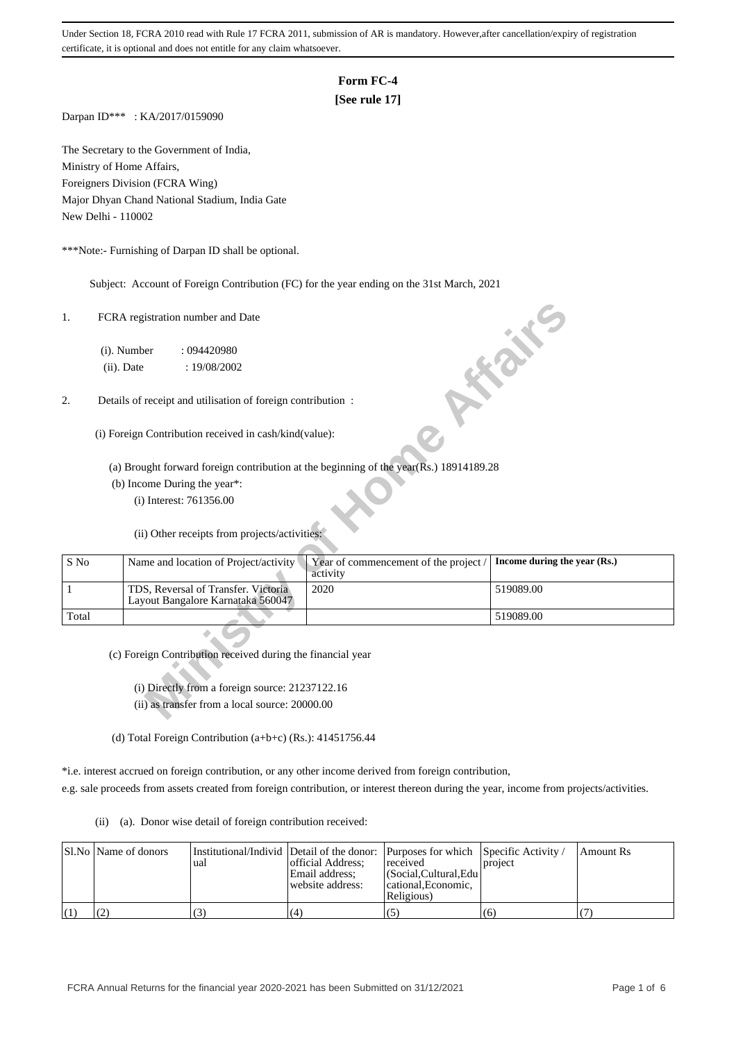# **Form FC-4**

# **[See rule 17]**

Darpan ID\*\*\* : KA/2017/0159090

The Secretary to the Government of India, Ministry of Home Affairs, Foreigners Division (FCRA Wing) Major Dhyan Chand National Stadium, India Gate New Delhi - 110002

\*\*\*Note:- Furnishing of Darpan ID shall be optional.

Subject: Account of Foreign Contribution (FC) for the year ending on the 31st March, 2021

| 1.    |                                                              | FCRA registration number and Date                                        |                                                                                        |                              |  |  |  |  |
|-------|--------------------------------------------------------------|--------------------------------------------------------------------------|----------------------------------------------------------------------------------------|------------------------------|--|--|--|--|
|       | (i). Number<br>(ii). Date                                    | :094420980<br>: 19/08/2002                                               |                                                                                        | SON T                        |  |  |  |  |
| 2.    |                                                              |                                                                          |                                                                                        |                              |  |  |  |  |
|       | Details of receipt and utilisation of foreign contribution : |                                                                          |                                                                                        |                              |  |  |  |  |
|       |                                                              | (i) Foreign Contribution received in cash/kind(value):                   |                                                                                        |                              |  |  |  |  |
|       |                                                              |                                                                          | (a) Brought forward foreign contribution at the beginning of the year(Rs.) 18914189.28 |                              |  |  |  |  |
|       |                                                              | (b) Income During the year*:                                             |                                                                                        |                              |  |  |  |  |
|       |                                                              | (i) Interest: 761356.00                                                  |                                                                                        |                              |  |  |  |  |
|       |                                                              | (ii) Other receipts from projects/activities:                            |                                                                                        |                              |  |  |  |  |
| S No  |                                                              | Name and location of Project/activity                                    | Year of commencement of the project /<br>activity                                      | Income during the year (Rs.) |  |  |  |  |
| 1     |                                                              | TDS, Reversal of Transfer. Victoria<br>Layout Bangalore Karnataka 560047 | 2020                                                                                   | 519089.00                    |  |  |  |  |
| Total |                                                              |                                                                          |                                                                                        | 519089.00                    |  |  |  |  |
|       |                                                              |                                                                          |                                                                                        |                              |  |  |  |  |
|       |                                                              | (c) Foreign Contribution received during the financial year              |                                                                                        |                              |  |  |  |  |
|       |                                                              |                                                                          |                                                                                        |                              |  |  |  |  |
|       |                                                              | (i) Directly from a foreign source: 21237122.16                          |                                                                                        |                              |  |  |  |  |
|       |                                                              | (ii) as transfer from a local source: 20000.00                           |                                                                                        |                              |  |  |  |  |

(d) Total Foreign Contribution (a+b+c) (Rs.): 41451756.44

\*i.e. interest accrued on foreign contribution, or any other income derived from foreign contribution,

e.g. sale proceeds from assets created from foreign contribution, or interest thereon during the year, income from projects/activities.

(ii) (a). Donor wise detail of foreign contribution received:

|                   | Sl.No Name of donors | 'uai | official Address:<br>Email address:<br>website address: | Institutional/Individ Detail of the donor: Purposes for which Specific Activity /<br>received<br>  (Social.Cultural.Edu)<br>cational.Economic.<br>Religious) | project | Amount Rs |
|-------------------|----------------------|------|---------------------------------------------------------|--------------------------------------------------------------------------------------------------------------------------------------------------------------|---------|-----------|
| $\left( 1\right)$ |                      |      | (4                                                      |                                                                                                                                                              | (6)     |           |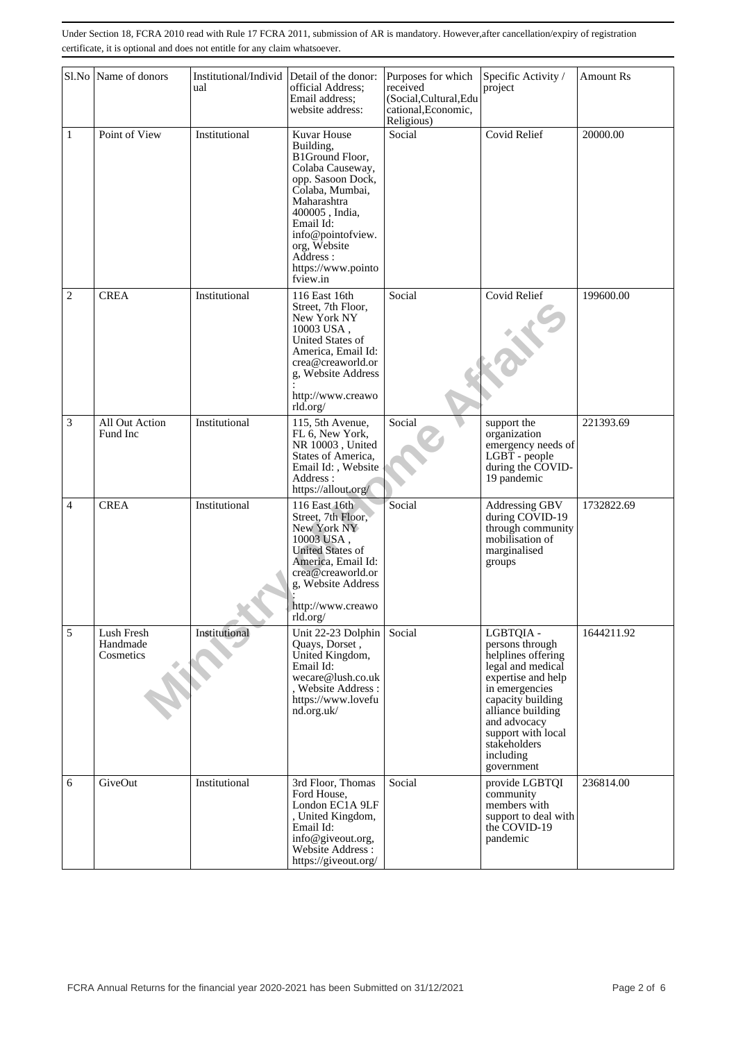|                | Sl.No Name of donors                | Institutional/Individ<br>ual | Detail of the donor:<br>official Address;<br>Email address:<br>website address:                                                                                                                                                                  | Purposes for which<br>received<br>(Social, Cultural, Edu<br>cational, Economic,<br>Religious) | Specific Activity /<br>project                                                                                                                                                                                                             | <b>Amount Rs</b> |
|----------------|-------------------------------------|------------------------------|--------------------------------------------------------------------------------------------------------------------------------------------------------------------------------------------------------------------------------------------------|-----------------------------------------------------------------------------------------------|--------------------------------------------------------------------------------------------------------------------------------------------------------------------------------------------------------------------------------------------|------------------|
| 1              | Point of View                       | Institutional                | Kuvar House<br>Building,<br><b>B1Ground Floor,</b><br>Colaba Causeway,<br>opp. Sasoon Dock,<br>Colaba, Mumbai,<br>Maharashtra<br>400005, India.<br>Email Id:<br>info@pointofview.<br>org, Website<br>Address :<br>https://www.pointo<br>fview.in | Social                                                                                        | <b>Covid Relief</b>                                                                                                                                                                                                                        | 20000.00         |
| $\overline{c}$ | <b>CREA</b>                         | Institutional                | 116 East 16th<br>Street, 7th Floor,<br>New York NY<br>10003 USA,<br>United States of<br>America, Email Id:<br>crea@creaworld.or<br>g, Website Address<br>http://www.creawo<br>rld.org/                                                           | Social                                                                                        | Covid Relief                                                                                                                                                                                                                               | 199600.00        |
| $\overline{3}$ | All Out Action<br>Fund Inc          | Institutional                | 115, 5th Avenue,<br>FL 6, New York,<br>NR 10003, United<br>States of America,<br>Email Id:, Website<br>Address:<br>https://allout.org/                                                                                                           | Social                                                                                        | support the<br>organization<br>emergency needs of<br>LGBT - people<br>during the COVID-<br>19 pandemic                                                                                                                                     | 221393.69        |
| 4              | <b>CREA</b>                         | Institutional                | 116 East 16th<br>Street, 7th Floor,<br>New York NY<br>10003 USA,<br><b>United States of</b><br>America, Email Id:<br>crea@creaworld.or<br>g, Website Address<br>http://www.creawo<br>rld.org/                                                    | Social                                                                                        | Addressing GBV<br>during COVID-19<br>through community<br>mobilisation of<br>marginalised<br>groups                                                                                                                                        | 1732822.69       |
| 5              | Lush Fresh<br>Handmade<br>Cosmetics | Institutional                | Unit 22-23 Dolphin<br>Quays, Dorset,<br>United Kingdom,<br>Email Id:<br>wecare@lush.co.uk<br>, Website Address :<br>https://www.lovefu<br>nd.org.uk/                                                                                             | Social                                                                                        | LGBTQIA -<br>persons through<br>helplines offering<br>legal and medical<br>expertise and help<br>in emergencies<br>capacity building<br>alliance building<br>and advocacy<br>support with local<br>stakeholders<br>including<br>government | 1644211.92       |
| 6              | GiveOut                             | Institutional                | 3rd Floor, Thomas<br>Ford House,<br>London EC1A 9LF<br>, United Kingdom,<br>Email Id:<br>info@giveout.org,<br>Website Address:<br>https://giveout.org/                                                                                           | Social                                                                                        | provide LGBTQI<br>community<br>members with<br>support to deal with<br>the COVID-19<br>pandemic                                                                                                                                            | 236814.00        |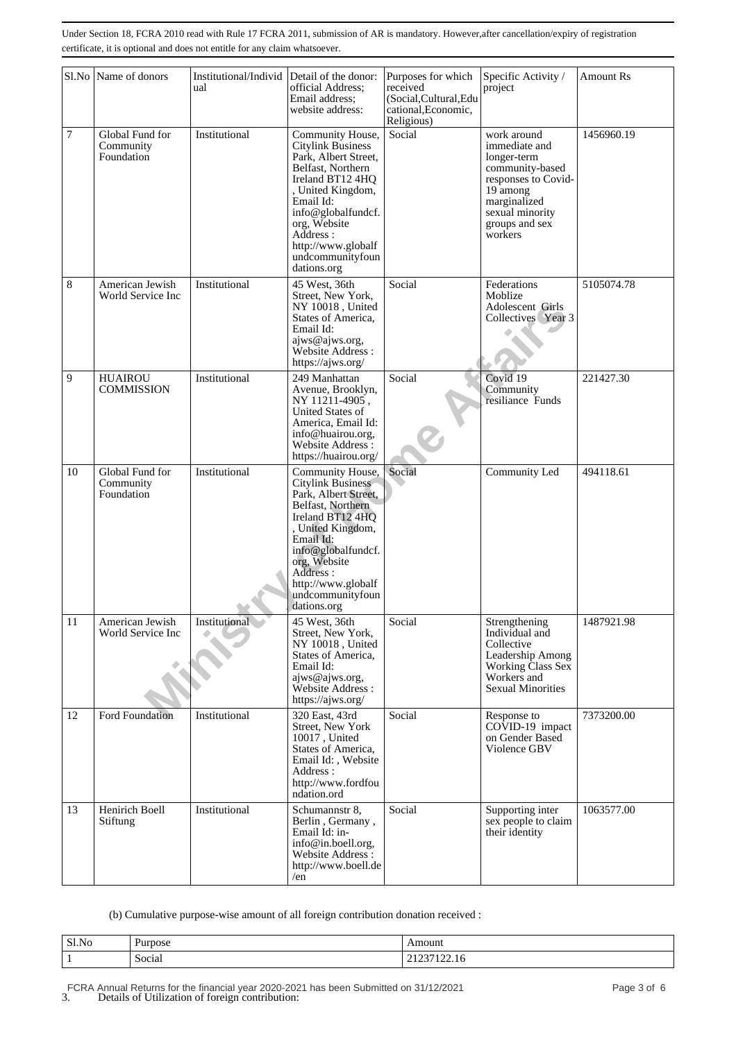|    | Sl.No Name of donors                       | Institutional/Individ<br>ual | Detail of the donor:<br>official Address;<br>Email address:<br>website address:                                                                                                                                                                            | Purposes for which<br>received<br>(Social, Cultural, Edu<br>cational, Economic,<br>Religious) | Specific Activity /<br>project                                                                                                                                    | <b>Amount Rs</b> |
|----|--------------------------------------------|------------------------------|------------------------------------------------------------------------------------------------------------------------------------------------------------------------------------------------------------------------------------------------------------|-----------------------------------------------------------------------------------------------|-------------------------------------------------------------------------------------------------------------------------------------------------------------------|------------------|
| 7  | Global Fund for<br>Community<br>Foundation | Institutional                | Community House,<br><b>Citylink Business</b><br>Park, Albert Street,<br>Belfast, Northern<br>Ireland BT12 4HQ<br>, United Kingdom,<br>Email Id:<br>info@globalfundcf.<br>org, Website<br>Address:<br>http://www.globalf<br>undcommunityfoun<br>dations.org | Social                                                                                        | work around<br>immediate and<br>longer-term<br>community-based<br>responses to Covid-<br>19 among<br>marginalized<br>sexual minority<br>groups and sex<br>workers | 1456960.19       |
| 8  | American Jewish<br>World Service Inc       | Institutional                | 45 West, 36th<br>Street, New York,<br>NY 10018, United<br>States of America.<br>Email Id:<br>ajws@ajws.org,<br>Website Address:<br>https://ajws.org/                                                                                                       | Social                                                                                        | Federations<br>Moblize<br>Adolescent Girls<br>Collectives Year 3                                                                                                  | 5105074.78       |
| 9  | <b>HUAIROU</b><br><b>COMMISSION</b>        | Institutional                | 249 Manhattan<br>Avenue, Brooklyn,<br>NY 11211-4905,<br>United States of<br>America, Email Id:<br>info@huairou.org,<br>Website Address:<br>https://huairou.org/                                                                                            | Social                                                                                        | Covid 19<br>Community<br>resiliance Funds                                                                                                                         | 221427.30        |
| 10 | Global Fund for<br>Community<br>Foundation | Institutional                | Community House,<br><b>Citylink Business</b><br>Park, Albert Street,<br>Belfast, Northern<br>Ireland BT12 4HQ<br>, United Kingdom,<br>Email Id:<br>info@globalfundcf.<br>org, Website<br>Address:<br>http://www.globalf<br>undcommunityfoun<br>dations.org | Social                                                                                        | Community Led                                                                                                                                                     | 494118.61        |
| 11 | American Jewish<br>World Service Inc       | Institutional                | 45 West, 36th<br>Street, New York,<br>NY 10018, United<br>States of America,<br>Email Id:<br>ajws@ajws.org,<br>Website Address:<br>https://ajws.org/                                                                                                       | Social                                                                                        | Strengthening<br>Individual and<br>Collective<br>Leadership Among<br>Working Class Sex<br>Workers and<br><b>Sexual Minorities</b>                                 | 1487921.98       |
| 12 | Ford Foundation                            | Institutional                | 320 East, 43rd<br>Street, New York<br>10017, United<br>States of America,<br>Email Id:, Website<br>Address:<br>http://www.fordfou<br>ndation.ord                                                                                                           | Social                                                                                        | Response to<br>$CO\overline{V}$ ID-19 impact<br>on Gender Based<br>Violence GBV                                                                                   | 7373200.00       |
| 13 | Henirich Boell<br>Stiftung                 | Institutional                | Schumannstr 8,<br>Berlin, Germany,<br>Email Id: in-<br>info@in.boell.org,<br>Website Address:<br>http://www.boell.de<br>/en                                                                                                                                | Social                                                                                        | Supporting inter<br>sex people to claim<br>their identity                                                                                                         | 1063577.00       |

(b) Cumulative purpose-wise amount of all foreign contribution donation received :

| Sl.N<br>- No | 1.7.2223 0.02<br>סטי:<br>$-$ | $-1111$<br>unount |
|--------------|------------------------------|-------------------|
|              | Social<br>$\sim$ $\sim$      | 144.IV<br>.       |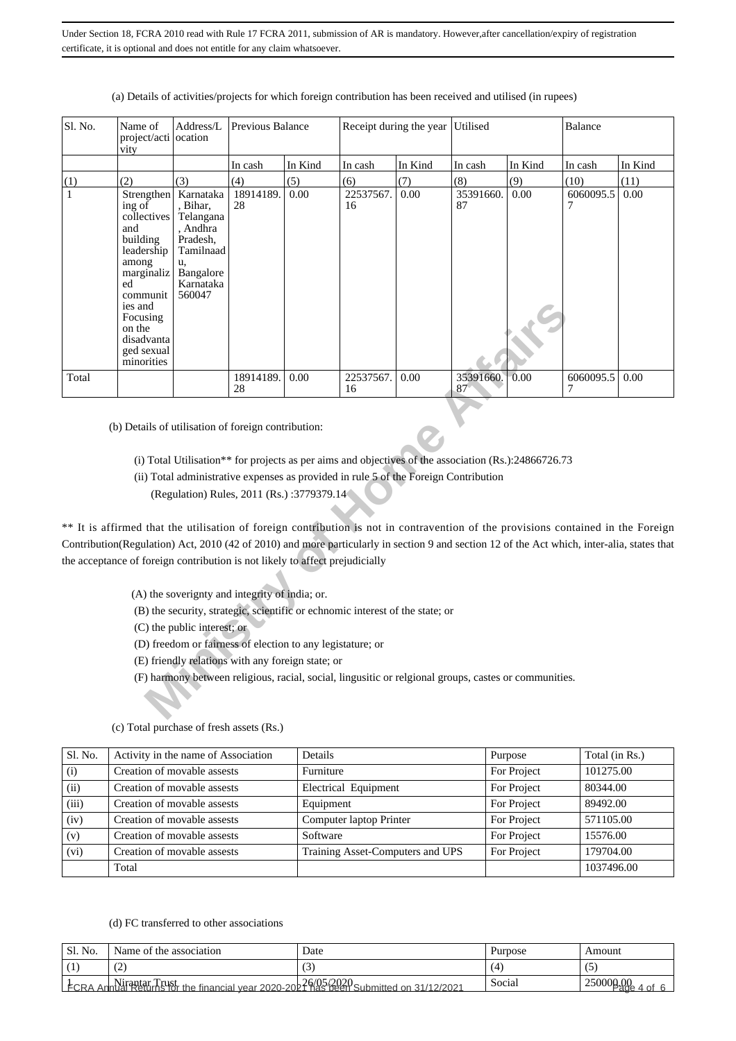| Sl. No.      | Name of<br>project/acti ocation<br>vity                                                                                                                                                                                     | Address/L                                                                                                                      | Previous Balance |         |                                                                                      | Receipt during the year | Utilised                                                                                                |         |                |         |
|--------------|-----------------------------------------------------------------------------------------------------------------------------------------------------------------------------------------------------------------------------|--------------------------------------------------------------------------------------------------------------------------------|------------------|---------|--------------------------------------------------------------------------------------|-------------------------|---------------------------------------------------------------------------------------------------------|---------|----------------|---------|
|              |                                                                                                                                                                                                                             |                                                                                                                                | In cash          | In Kind | In cash                                                                              | In Kind                 | In cash                                                                                                 | In Kind | In cash        | In Kind |
| (1)          | (2)                                                                                                                                                                                                                         | (3)                                                                                                                            | (4)              | (5)     | (6)                                                                                  | (7)                     | (8)                                                                                                     | (9)     | (10)           | (11)    |
| $\mathbf{1}$ | ing of<br>collectives<br>and<br>building<br>leadership<br>among<br>marginaliz<br>ed<br>communit<br>ies and<br>Focusing<br>on the<br>disadvanta<br>ged sexual<br>minorities                                                  | Strengthen   Karnataka<br>, Bihar,<br>Telangana<br>, Andhra<br>Pradesh,<br>Tamilnaad<br>u,<br>Bangalore<br>Karnataka<br>560047 | 18914189.<br>28  | 0.00    | 22537567.<br>16                                                                      | 0.00                    | 35391660.<br>87                                                                                         | 0.00    | 6060095.5      | 0.00    |
| Total        |                                                                                                                                                                                                                             |                                                                                                                                | 18914189.<br>28  | 0.00    | 22537567.<br>16                                                                      | 0.00                    | 35391660.<br>87                                                                                         | 0.00    | 6060095.5<br>7 | 0.00    |
|              | ** It is affirmed that the utilisation of foreign contribution is not in contravention of the provisions contained in the Foreign                                                                                           | (Regulation) Rules, 2011 (Rs.):3779379.14                                                                                      |                  |         | (ii) Total administrative expenses as provided in rule 5 of the Foreign Contribution |                         | (i) Total Utilisation** for projects as per aims and objectives of the association $(Rs.)$ :24866726.73 |         |                |         |
|              | Contribution(Regulation) Act, 2010 (42 of 2010) and more particularly in section 9 and section 12 of the Act which, inter-alia, states that<br>the acceptance of foreign contribution is not likely to affect prejudicially |                                                                                                                                |                  |         |                                                                                      |                         |                                                                                                         |         |                |         |
|              |                                                                                                                                                                                                                             |                                                                                                                                |                  |         |                                                                                      |                         |                                                                                                         |         |                |         |
|              |                                                                                                                                                                                                                             | (A) the soverignty and integrity of india; or.                                                                                 |                  |         |                                                                                      |                         |                                                                                                         |         |                |         |
|              |                                                                                                                                                                                                                             |                                                                                                                                |                  |         | (B) the security, strategic, scientific or echnomic interest of the state; or        |                         |                                                                                                         |         |                |         |
|              |                                                                                                                                                                                                                             | (C) the public interest; or                                                                                                    |                  |         |                                                                                      |                         |                                                                                                         |         |                |         |
|              |                                                                                                                                                                                                                             | (D) freedom or fairness of election to any legistature; or                                                                     |                  |         |                                                                                      |                         |                                                                                                         |         |                |         |
|              |                                                                                                                                                                                                                             | (E) friendly relations with any foreign state; or                                                                              |                  |         |                                                                                      |                         |                                                                                                         |         |                |         |
|              |                                                                                                                                                                                                                             |                                                                                                                                |                  |         |                                                                                      |                         | (F) harmony between religious, racial, social, lingusitic or relgional groups, castes or communities.   |         |                |         |

### (a) Details of activities/projects for which foreign contribution has been received and utilised (in rupees)

- (ii) Total administrative expenses as provided in rule 5 of the Foreign Contribution
	- (Regulation) Rules, 2011 (Rs.) :3779379.14

- (A) the soverignty and integrity of india; or.
- (B) the security, strategic, scientific or echnomic interest of the state; or

- (D) freedom or fairness of election to any legistature; or
- (E) friendly relations with any foreign state; or
- (F) harmony between religious, racial, social, lingusitic or relgional groups, castes or communities.

| Sl. No. | Activity in the name of Association | Details                          | Purpose     | Total (in Rs.) |
|---------|-------------------------------------|----------------------------------|-------------|----------------|
| (i)     | Creation of movable assests         | Furniture                        | For Project | 101275.00      |
| (ii)    | Creation of movable assests         | Electrical Equipment             | For Project | 80344.00       |
| (iii)   | Creation of movable assests         | Equipment                        | For Project | 89492.00       |
| (iv)    | Creation of movable assests         | Computer laptop Printer          | For Project | 571105.00      |
| (v)     | Creation of movable assests         | Software                         | For Project | 15576.00       |
| (vi)    | Creation of movable assests         | Training Asset-Computers and UPS | For Project | 179704.00      |
|         | Total                               |                                  |             | 1037496.00     |

#### (c) Total purchase of fresh assets (Rs.)

# (d) FC transferred to other associations

| ' Sl. No. | Name of the association                                                                             | Date | Purpose | Amount                        |
|-----------|-----------------------------------------------------------------------------------------------------|------|---------|-------------------------------|
|           | $\sqrt{2}$<br>ست                                                                                    | C.   |         |                               |
|           | $\frac{1}{2}$ FCRA Annual Returns for the financial year 2020-2021 Research Submitted on 31/12/2021 |      | Social  | $25000 \cancel{\mu_0}$<br>nt. |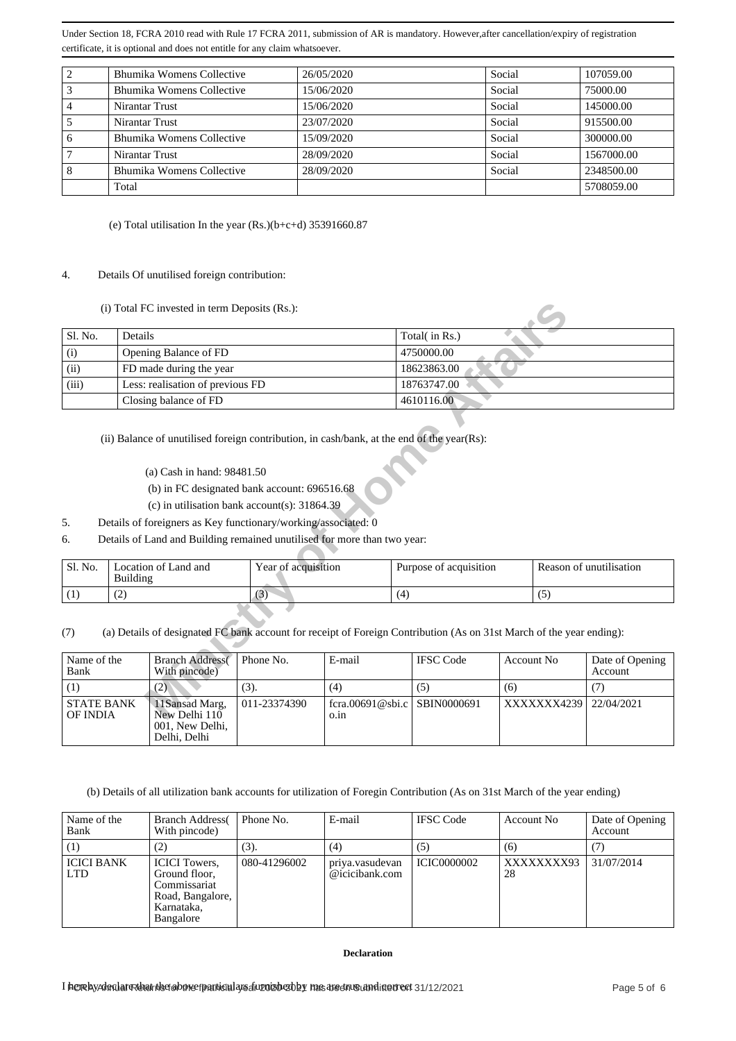| $\overline{c}$                                                                                                                                                                                                                                                                                                                                                                                                                                                                                                                                                                                                                                                                                                     |                                                                                                                                  | Bhumika Womens Collective                                                                                                                                             |                     | 26/05/2020<br>15/06/2020          |            |                         | Social                     |            | 107059.00                         |
|--------------------------------------------------------------------------------------------------------------------------------------------------------------------------------------------------------------------------------------------------------------------------------------------------------------------------------------------------------------------------------------------------------------------------------------------------------------------------------------------------------------------------------------------------------------------------------------------------------------------------------------------------------------------------------------------------------------------|----------------------------------------------------------------------------------------------------------------------------------|-----------------------------------------------------------------------------------------------------------------------------------------------------------------------|---------------------|-----------------------------------|------------|-------------------------|----------------------------|------------|-----------------------------------|
| 3                                                                                                                                                                                                                                                                                                                                                                                                                                                                                                                                                                                                                                                                                                                  |                                                                                                                                  | Bhumika Womens Collective                                                                                                                                             |                     |                                   |            |                         | Social                     |            | 75000.00                          |
| $\overline{\mathbf{4}}$<br>5                                                                                                                                                                                                                                                                                                                                                                                                                                                                                                                                                                                                                                                                                       | Nirantar Trust                                                                                                                   |                                                                                                                                                                       |                     | 15/06/2020                        |            |                         | Social                     |            | 145000.00                         |
|                                                                                                                                                                                                                                                                                                                                                                                                                                                                                                                                                                                                                                                                                                                    | Nirantar Trust                                                                                                                   | <b>Bhumika Womens Collective</b>                                                                                                                                      |                     | 23/07/2020                        |            |                         | Social<br>Social           |            | 915500.00                         |
| 6<br>7                                                                                                                                                                                                                                                                                                                                                                                                                                                                                                                                                                                                                                                                                                             | Nirantar Trust                                                                                                                   |                                                                                                                                                                       |                     | 15/09/2020<br>28/09/2020          |            |                         | Social                     |            | 300000.00<br>1567000.00           |
| 8                                                                                                                                                                                                                                                                                                                                                                                                                                                                                                                                                                                                                                                                                                                  |                                                                                                                                  | Bhumika Womens Collective                                                                                                                                             |                     | 28/09/2020                        |            |                         | Social                     |            | 2348500.00                        |
|                                                                                                                                                                                                                                                                                                                                                                                                                                                                                                                                                                                                                                                                                                                    | Total                                                                                                                            |                                                                                                                                                                       |                     |                                   |            |                         |                            |            | 5708059.00                        |
| (e) Total utilisation In the year $(Rs.)(b+c+d)$ 35391660.87<br>4.<br>Details Of unutilised foreign contribution:<br>(i) Total FC invested in term Deposits (Rs.):<br>Sl. No.<br>Details<br>Total(in Rs.)<br>(i)<br>Opening Balance of FD<br>4750000.00<br>(ii)<br>FD made during the year<br>18623863.00<br>Less: realisation of previous FD<br>(iii)<br>18763747.00<br>Closing balance of FD<br>4610116.00<br>(ii) Balance of unutilised foreign contribution, in cash/bank, at the end of the year(Rs):<br>(a) Cash in hand: 98481.50<br>(b) in FC designated bank account: 696516.68<br>(c) in utilisation bank account(s): $31864.39$<br>Details of foreigners as Key functionary/working/associated: 0<br>5. |                                                                                                                                  |                                                                                                                                                                       |                     |                                   |            |                         |                            |            |                                   |
| 6.                                                                                                                                                                                                                                                                                                                                                                                                                                                                                                                                                                                                                                                                                                                 |                                                                                                                                  | Details of Land and Building remained unutilised for more than two year:                                                                                              |                     |                                   |            |                         |                            |            |                                   |
|                                                                                                                                                                                                                                                                                                                                                                                                                                                                                                                                                                                                                                                                                                                    |                                                                                                                                  |                                                                                                                                                                       |                     |                                   |            |                         |                            |            |                                   |
| Sl. No.                                                                                                                                                                                                                                                                                                                                                                                                                                                                                                                                                                                                                                                                                                            | Building                                                                                                                         | Location of Land and                                                                                                                                                  | Year of acquisition |                                   |            | Purpose of acquisition  |                            |            | Reason of unutilisation           |
| (1)                                                                                                                                                                                                                                                                                                                                                                                                                                                                                                                                                                                                                                                                                                                | (2)                                                                                                                              |                                                                                                                                                                       | (3)                 |                                   | (4)        |                         |                            | (5)        |                                   |
| (7)<br>Name of the<br>Bank<br>(1)                                                                                                                                                                                                                                                                                                                                                                                                                                                                                                                                                                                                                                                                                  |                                                                                                                                  | (a) Details of designated FC bank account for receipt of Foreign Contribution (As on 31st March of the year ending):<br><b>Branch Address</b><br>With pincode)<br>(2) | Phone No.<br>(3).   | E-mail<br>(4)                     |            | <b>IFSC Code</b><br>(5) | Account No<br>(6)          |            | Date of Opening<br>Account<br>(7) |
| <b>STATE BANK</b>                                                                                                                                                                                                                                                                                                                                                                                                                                                                                                                                                                                                                                                                                                  |                                                                                                                                  | 11Sansad Marg,                                                                                                                                                        | 011-23374390        | fcra.00691@sbi.c                  |            | SBIN0000691             |                            | XXXXXX4239 | 22/04/2021                        |
| OF INDIA                                                                                                                                                                                                                                                                                                                                                                                                                                                                                                                                                                                                                                                                                                           |                                                                                                                                  | New Delhi 110<br>001. New Delhi.<br>Delhi, Delhi                                                                                                                      |                     | o.in                              |            |                         |                            |            |                                   |
|                                                                                                                                                                                                                                                                                                                                                                                                                                                                                                                                                                                                                                                                                                                    |                                                                                                                                  | (b) Details of all utilization bank accounts for utilization of Foregin Contribution (As on 31st March of the year ending)                                            |                     |                                   |            |                         |                            |            |                                   |
| Name of the<br>Phone No.<br>E-mail<br><b>Branch Address</b><br>Bank<br>With pincode)                                                                                                                                                                                                                                                                                                                                                                                                                                                                                                                                                                                                                               |                                                                                                                                  |                                                                                                                                                                       |                     | <b>IFSC</b> Code                  | Account No |                         | Date of Opening<br>Account |            |                                   |
| (2)<br>(3).<br>(1)                                                                                                                                                                                                                                                                                                                                                                                                                                                                                                                                                                                                                                                                                                 |                                                                                                                                  | (4)                                                                                                                                                                   |                     | (5)                               | (6)        |                         | (7)                        |            |                                   |
| <b>ICICI BANK</b><br><b>LTD</b>                                                                                                                                                                                                                                                                                                                                                                                                                                                                                                                                                                                                                                                                                    |                                                                                                                                  | <b>ICICI</b> Towers,<br>Ground floor,<br>Commissariat<br>Road, Bangalore,<br>Karnataka,<br>Bangalore                                                                  | 080-41296002        | priya.vasudevan<br>@icicibank.com |            | <b>ICIC0000002</b>      | 28                         | XXXXXXXX93 | 31/07/2014                        |
|                                                                                                                                                                                                                                                                                                                                                                                                                                                                                                                                                                                                                                                                                                                    | <b>Declaration</b><br>I herelsyAdrolat@datribetabtheefpanticalarsafu20isbe20by masarednuGutndittertect 31/12/2021<br>Page 5 of 6 |                                                                                                                                                                       |                     |                                   |            |                         |                            |            |                                   |

## 4. Details Of unutilised foreign contribution:

|                                                                                                                                                                                                                                                                                                                                                                                                                                                             | (i) Total FC invested in term Deposits (Rs.):                                                                                                                                                                                                                                                                                                                            |                     |      |                        |     |                         |  |
|-------------------------------------------------------------------------------------------------------------------------------------------------------------------------------------------------------------------------------------------------------------------------------------------------------------------------------------------------------------------------------------------------------------------------------------------------------------|--------------------------------------------------------------------------------------------------------------------------------------------------------------------------------------------------------------------------------------------------------------------------------------------------------------------------------------------------------------------------|---------------------|------|------------------------|-----|-------------------------|--|
| Sl. No.                                                                                                                                                                                                                                                                                                                                                                                                                                                     | Details                                                                                                                                                                                                                                                                                                                                                                  |                     |      | Total(in Rs.)          |     |                         |  |
| (i)                                                                                                                                                                                                                                                                                                                                                                                                                                                         | Opening Balance of FD                                                                                                                                                                                                                                                                                                                                                    |                     |      | 4750000.00             |     |                         |  |
| (ii)                                                                                                                                                                                                                                                                                                                                                                                                                                                        | FD made during the year                                                                                                                                                                                                                                                                                                                                                  |                     |      | 18623863.00            |     |                         |  |
| (iii)                                                                                                                                                                                                                                                                                                                                                                                                                                                       | Less: realisation of previous FD                                                                                                                                                                                                                                                                                                                                         |                     |      | 18763747.00            |     |                         |  |
|                                                                                                                                                                                                                                                                                                                                                                                                                                                             | Closing balance of FD                                                                                                                                                                                                                                                                                                                                                    |                     |      | 4610116.00             |     |                         |  |
| 5 <sub>1</sub><br>6.                                                                                                                                                                                                                                                                                                                                                                                                                                        | (ii) Balance of unutilised foreign contribution, in cash/bank, at the end of the year(Rs):<br>(a) Cash in hand: 98481.50<br>(b) in FC designated bank account: 696516.68<br>(c) in utilisation bank account(s): $31864.39$<br>Details of foreigners as Key functionary/working/associated: 0<br>Details of Land and Building remained unutilised for more than two year: |                     |      |                        |     |                         |  |
| Sl. No.                                                                                                                                                                                                                                                                                                                                                                                                                                                     | Location of Land and<br><b>Building</b>                                                                                                                                                                                                                                                                                                                                  | Year of acquisition |      | Purpose of acquisition |     | Reason of unutilisation |  |
| (1)                                                                                                                                                                                                                                                                                                                                                                                                                                                         | (2)                                                                                                                                                                                                                                                                                                                                                                      | (3)                 | (4)  |                        | (5) |                         |  |
| (a) Details of designated FC bank account for receipt of Foreign Contribution (As on 31st March of the year ending):<br>(7)<br>Name of the<br><b>Branch Address</b><br>E-mail<br><b>IFSC Code</b><br>Phone No.<br>Account No<br>Date of Opening<br>Bank<br>With pincode)<br>Account<br>(3).<br>(4)<br>(5)<br>(1)<br>(2)<br>(6)<br>(7)<br>011-23374390<br>SBIN0000691<br><b>STATE BANK</b><br>11Sansad Marg,<br>fcra.00691@sbi.c<br>XXXXXX4239<br>22/04/2021 |                                                                                                                                                                                                                                                                                                                                                                          |                     |      |                        |     |                         |  |
| <b>OF INDIA</b>                                                                                                                                                                                                                                                                                                                                                                                                                                             | New Delhi 110                                                                                                                                                                                                                                                                                                                                                            |                     | o.in |                        |     |                         |  |

- (a) Cash in hand: 98481.50
- (b) in FC designated bank account: 696516.68
- (c) in utilisation bank account(s): 31864.39
- 5. Details of foreigners as Key functionary/working/associated: 0
- 6. Details of Land and Building remained unutilised for more than two year:

| Sl. No. | ∟ocation of Land and<br><b>Building</b> | Year of acquisition | Purpose of acquisition | Reason of unutilisation |
|---------|-----------------------------------------|---------------------|------------------------|-------------------------|
|         | ∼                                       | $\sim$              |                        |                         |

| Name of the<br>Bank           | <b>Branch Address</b><br>With pincode)                              | Phone No.    | E-mail                               | <b>IFSC</b> Code | Account No | Date of Opening<br>Account |
|-------------------------------|---------------------------------------------------------------------|--------------|--------------------------------------|------------------|------------|----------------------------|
|                               | 2)                                                                  | (3).         | (4)                                  | (5)              | (6)        |                            |
| <b>STATE BANK</b><br>OF INDIA | 11 Sansad Marg.<br>New Delhi 110<br>001, New Delhi,<br>Delhi, Delhi | 011-23374390 | fcra.00691@sbi.c SBIN0000691<br>0.1n |                  | XXXXXX4239 | 22/04/2021                 |

| Name of the<br>Bank             | <b>Branch Address</b><br>With pincode)                                                               | Phone No.    | E-mail                            | <b>IFSC</b> Code   | Account No       | Date of Opening<br>Account |
|---------------------------------|------------------------------------------------------------------------------------------------------|--------------|-----------------------------------|--------------------|------------------|----------------------------|
| $^{(1)}$                        | (2)                                                                                                  | (3).         | (4)                               | (5)                | (6)              |                            |
| <b>ICICI BANK</b><br><b>LTD</b> | <b>ICICI</b> Towers,<br>Ground floor,<br>Commissariat<br>Road, Bangalore,<br>Karnataka,<br>Bangalore | 080-41296002 | priya.yasudevan<br>@icicibank.com | <b>ICIC0000002</b> | XXXXXXXX93<br>28 | 31/07/2014                 |

### **Declaration**